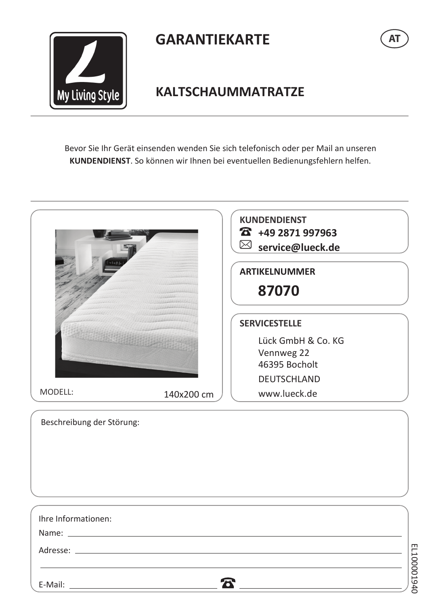

E-Mail:

# **GARANTIEKARTE**



### **KALTSCHAUMMATRATZE**

Bevor Sie Ihr Gerät einsenden wenden Sie sich telefonisch oder per Mail an unseren KUNDENDIENST. So können wir Ihnen bei eventuellen Bedienungsfehlern helfen.

|                           |            | <b>KUNDENDIENST</b><br>26 +49 2871 997963<br>⊠ service@lueck.de<br><b>ARTIKELNUMMER</b><br>87070 |  |
|---------------------------|------------|--------------------------------------------------------------------------------------------------|--|
|                           |            |                                                                                                  |  |
|                           |            | <b>SERVICESTELLE</b>                                                                             |  |
|                           |            | Lück GmbH & Co. KG                                                                               |  |
|                           |            | Vennweg 22                                                                                       |  |
|                           |            | 46395 Bocholt                                                                                    |  |
|                           |            | <b>DEUTSCHLAND</b>                                                                               |  |
| MODELL:                   | 140x200 cm | www.lueck.de                                                                                     |  |
| Beschreibung der Störung: |            |                                                                                                  |  |
|                           |            |                                                                                                  |  |
| Ihre Informationen:       |            |                                                                                                  |  |

 $\mathbf{z}$ 

EL100001940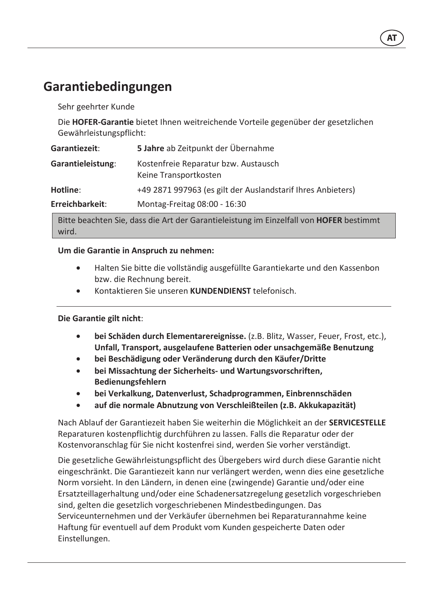## Garantiebedingungen

Sehr geehrter Kunde

Die HOFER-Garantie bietet Ihnen weitreichende Vorteile gegenüber der gesetzlichen Gewährleistungspflicht:

| Garantiezeit:            | 5 Jahre ab Zeitpunkt der Übernahme                            |
|--------------------------|---------------------------------------------------------------|
| <b>Garantieleistung:</b> | Kostenfreie Reparatur bzw. Austausch<br>Keine Transportkosten |
| Hotline:                 | +49 2871 997963 (es gilt der Auslandstarif Ihres Anbieters)   |
| Erreichbarkeit:          | Montag-Freitag 08:00 - 16:30                                  |

Bitte beachten Sie, dass die Art der Garantieleistung im Einzelfall von HOFER bestimmt wird.

#### Um die Garantie in Anspruch zu nehmen:

- Halten Sie bitte die vollständig ausgefüllte Garantiekarte und den Kassenbon  $\bullet$ bzw. die Rechnung bereit.
- Kontaktieren Sie unseren KUNDENDIENST telefonisch.

#### Die Garantie gilt nicht:

- bei Schäden durch Elementarereignisse. (z.B. Blitz, Wasser, Feuer, Frost, etc.),  $\bullet$ Unfall, Transport, ausgelaufene Batterien oder unsachgemäße Benutzung
- bei Beschädigung oder Veränderung durch den Käufer/Dritte  $\bullet$
- bei Missachtung der Sicherheits- und Wartungsvorschriften,  $\bullet$ **Bedienungsfehlern**
- bei Verkalkung, Datenverlust, Schadprogrammen, Einbrennschäden
- auf die normale Abnutzung von Verschleißteilen (z.B. Akkukapazität)  $\bullet$

Nach Ablauf der Garantiezeit haben Sie weiterhin die Möglichkeit an der SERVICESTELLE Reparaturen kostenpflichtig durchführen zu lassen. Falls die Reparatur oder der Kostenvoranschlag für Sie nicht kostenfrei sind, werden Sie vorher verständigt.

Die gesetzliche Gewährleistungspflicht des Übergebers wird durch diese Garantie nicht eingeschränkt. Die Garantiezeit kann nur verlängert werden, wenn dies eine gesetzliche Norm vorsieht. In den Ländern, in denen eine (zwingende) Garantie und/oder eine Ersatzteillagerhaltung und/oder eine Schadenersatzregelung gesetzlich vorgeschrieben sind, gelten die gesetzlich vorgeschriebenen Mindestbedingungen. Das Serviceunternehmen und der Verkäufer übernehmen bei Reparaturannahme keine Haftung für eventuell auf dem Produkt vom Kunden gespeicherte Daten oder Einstellungen.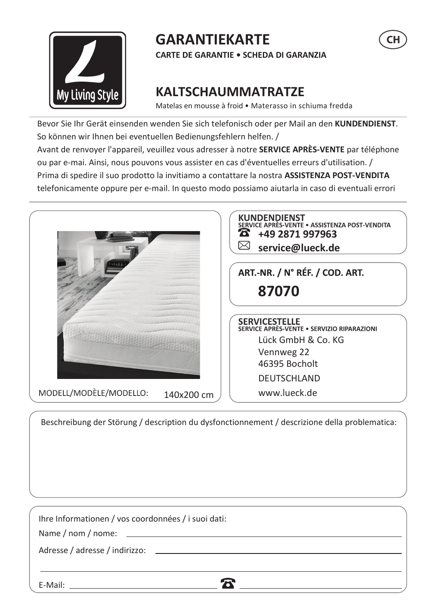

# **GARANTIEKARTE**

**CARTE DE GARANTIE . SCHEDA DI GARANZIA** 

# **KALTSCHAUMMATRATZE**

Matelas en mousse à froid · Materasso in schiuma fredda

Bevor Sie Ihr Gerät einsenden wenden Sie sich telefonisch oder per Mail an den KUNDENDIENST. So können wir Ihnen bei eventuellen Bedienungsfehlern helfen. / Avant de renvoyer l'appareil, veuillez vous adresser à notre SERVICE APRÈS-VENTE par téléphone ou par e-mai. Ainsi, nous pouvons vous assister en cas d'éventuelles erreurs d'utilisation. / Prima di spedire il suo prodotto la invitiamo a contattare la nostra ASSISTENZA POST-VENDITA telefonicamente oppure per e-mail. In questo modo possiamo aiutarla in caso di eventuali errori



Beschreibung der Störung / description du dysfonctionnement / descrizione della problematica:

| Ihre Informationen / vos coordonnées / i suoi dati: |  |
|-----------------------------------------------------|--|
|                                                     |  |
|                                                     |  |
|                                                     |  |
| E-Mail:                                             |  |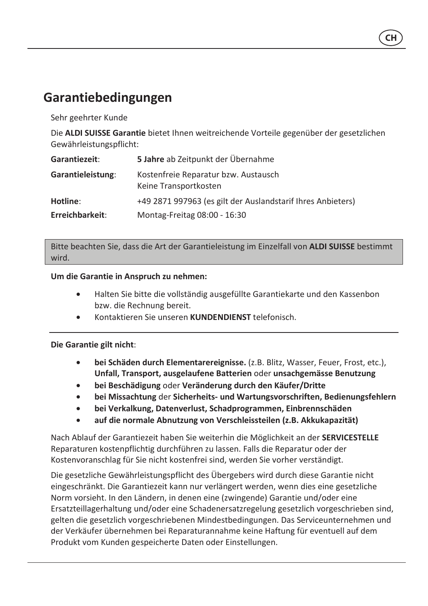## Garantiebedingungen

Sehr geehrter Kunde

Die ALDI SUISSE Garantie bietet Ihnen weitreichende Vorteile gegenüber der gesetzlichen Gewährleistungspflicht:

| Garantiezeit:     | 5 Jahre ab Zeitpunkt der Übernahme                            |
|-------------------|---------------------------------------------------------------|
| Garantieleistung: | Kostenfreie Reparatur bzw. Austausch<br>Keine Transportkosten |
| Hotline:          | +49 2871 997963 (es gilt der Auslandstarif Ihres Anbieters)   |
| Erreichbarkeit:   | Montag-Freitag 08:00 - 16:30                                  |

Bitte beachten Sie, dass die Art der Garantieleistung im Einzelfall von ALDI SUISSE bestimmt wird.

#### Um die Garantie in Anspruch zu nehmen:

- Halten Sie bitte die vollständig ausgefüllte Garantiekarte und den Kassenbon bzw. die Rechnung bereit.
- Kontaktieren Sie unseren KUNDENDIENST telefonisch.

#### Die Garantie gilt nicht:

- bei Schäden durch Elementarereignisse. (z.B. Blitz, Wasser, Feuer, Frost, etc.), Unfall, Transport, ausgelaufene Batterien oder unsachgemässe Benutzung
- bei Beschädigung oder Veränderung durch den Käufer/Dritte  $\bullet$
- bei Missachtung der Sicherheits- und Wartungsvorschriften, Bedienungsfehlern
- bei Verkalkung, Datenverlust, Schadprogrammen, Einbrennschäden  $\bullet$
- auf die normale Abnutzung von Verschleissteilen (z.B. Akkukapazität)

Nach Ablauf der Garantiezeit haben Sie weiterhin die Möglichkeit an der SERVICESTELLE Reparaturen kostenpflichtig durchführen zu lassen. Falls die Reparatur oder der Kostenvoranschlag für Sie nicht kostenfrei sind, werden Sie vorher verständigt.

Die gesetzliche Gewährleistungspflicht des Übergebers wird durch diese Garantie nicht eingeschränkt. Die Garantiezeit kann nur verlängert werden, wenn dies eine gesetzliche Norm vorsieht. In den Ländern, in denen eine (zwingende) Garantie und/oder eine Ersatzteillagerhaltung und/oder eine Schadenersatzregelung gesetzlich vorgeschrieben sind, gelten die gesetzlich vorgeschriebenen Mindestbedingungen. Das Serviceunternehmen und der Verkäufer übernehmen bei Reparaturannahme keine Haftung für eventuell auf dem Produkt vom Kunden gespeicherte Daten oder Einstellungen.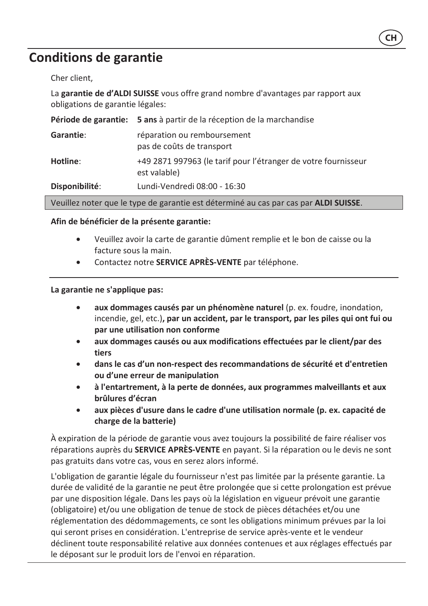### **Conditions de garantie**

Cher client,

La garantie de d'ALDI SUISSE vous offre grand nombre d'avantages par rapport aux obligations de garantie légales:

| Période de garantie:                                                                | 5 ans à partir de la réception de la marchandise                               |
|-------------------------------------------------------------------------------------|--------------------------------------------------------------------------------|
| Garantie:                                                                           | réparation ou remboursement<br>pas de coûts de transport                       |
| Hotline:                                                                            | +49 2871 997963 (le tarif pour l'étranger de votre fournisseur<br>est valable) |
| Disponibilité:                                                                      | Lundi-Vendredi 08:00 - 16:30                                                   |
| Veuillez noter que le type de garantie est déterminé au cas par cas par ALDI SLUSSE |                                                                                |

#### Afin de bénéficier de la présente garantie:

- Veuillez avoir la carte de garantie dûment remplie et le bon de caisse ou la facture sous la main.
- Contactez notre SERVICE APRÈS-VENTE par téléphone.  $\bullet$

#### La garantie ne s'applique pas:

- $\bullet$ aux dommages causés par un phénomène naturel (p. ex. foudre, inondation, incendie, gel, etc.), par un accident, par le transport, par les piles qui ont fui ou par une utilisation non conforme
- aux dommages causés ou aux modifications effectuées par le client/par des tiers
- dans le cas d'un non-respect des recommandations de sécurité et d'entretien ou d'une erreur de manipulation
- à l'entartrement, à la perte de données, aux programmes malveillants et aux  $\bullet$ brûlures d'écran
- aux pièces d'usure dans le cadre d'une utilisation normale (p. ex. capacité de charge de la batterie)

À expiration de la période de garantie vous avez toujours la possibilité de faire réaliser vos réparations auprès du **SERVICE APRÈS-VENTE** en payant. Si la réparation ou le devis ne sont pas gratuits dans votre cas, vous en serez alors informé.

L'obligation de garantie légale du fournisseur n'est pas limitée par la présente garantie. La durée de validité de la garantie ne peut être prolongée que si cette prolongation est prévue par une disposition légale. Dans les pays où la législation en vigueur prévoit une garantie (obligatoire) et/ou une obligation de tenue de stock de pièces détachées et/ou une réglementation des dédommagements, ce sont les obligations minimum prévues par la loi qui seront prises en considération. L'entreprise de service après-vente et le vendeur déclinent toute responsabilité relative aux données contenues et aux réglages effectués par le déposant sur le produit lors de l'envoi en réparation.